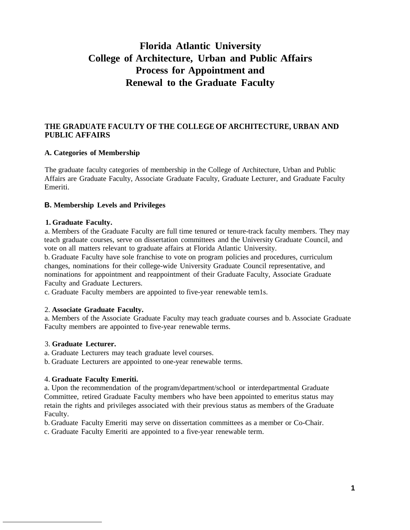# **Florida Atlantic University College of Architecture, Urban and Public Affairs Process for Appointment and Renewal to the Graduate Faculty**

## **THE GRADUATE FACULTY OF THE COLLEGE OF ARCHITECTURE, URBAN AND PUBLIC AFFAIRS**

## **A. Categories of Membership**

The graduate faculty categories of membership in the College of Architecture, Urban and Public Affairs are Graduate Faculty, Associate Graduate Faculty, Graduate Lecturer, and Graduate Faculty Emeriti.

#### **B. Membership Levels and Privileges**

#### **1. Graduate Faculty.**

a. Members of the Graduate Faculty are full time tenured or tenure-track faculty members. They may teach graduate courses, serve on dissertation committees and the University Graduate Council, and vote on all matters relevant to graduate affairs at Florida Atlantic University.

b. Graduate Faculty have sole franchise to vote on program policies and procedures, curriculum changes, nominations for their college-wide University Graduate Council representative, and nominations for appointment and reappointment of their Graduate Faculty, Associate Graduate Faculty and Graduate Lecturers.

c. Graduate Faculty members are appointed to five-year renewable tem1s.

#### 2. **Associate Graduate Faculty.**

a. Members of the Associate Graduate Faculty may teach graduate courses and b. Associate Graduate Faculty members are appointed to five-year renewable terms.

#### 3. **Graduate Lecturer.**

- a. Graduate Lecturers may teach graduate level courses.
- b. Graduate Lecturers are appointed to one-year renewable terms.

#### 4. **Graduate Faculty Emeriti.**

a. Upon the recommendation of the program/department/school or interdepartmental Graduate Committee, retired Graduate Faculty members who have been appointed to emeritus status may retain the rights and privileges associated with their previous status as members of the Graduate Faculty.

b. Graduate Faculty Emeriti may serve on dissertation committees as a member or Co-Chair.

c. Graduate Faculty Emeriti are appointed to a five-year renewable term.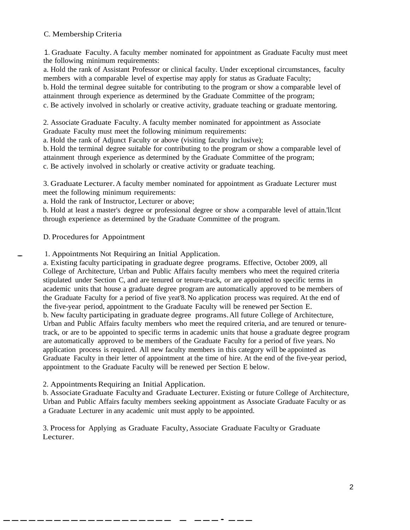## C. Membership Criteria

1. Graduate Faculty. A faculty member nominated for appointment as Graduate Faculty must meet the following minimum requirements:

a. Hold the rank of Assistant Professor or clinical faculty. Under exceptional circumstances, faculty members with a comparable level of expertise may apply for status as Graduate Faculty;

b. Hold the terminal degree suitable for contributing to the program or show a comparable level of attainment through experience as determined by the Graduate Committee of the program;

c. Be actively involved in scholarly or creative activity, graduate teaching or graduate mentoring.

2. Associate Graduate Faculty. A faculty member nominated for appointment as Associate Graduate Faculty must meet the following minimum requirements:

a. Hold the rank of Adjunct Faculty or above (visiting faculty inclusive);

b. Hold the terminal degree suitable for contributing to the program or show a comparable level of attainment through experience as determined by the Graduate Committee of the program;

c. Be actively involved in scholarly or creative activity or graduate teaching.

3. Graduate Lecturer.A faculty member nominated for appointment as Graduate Lecturer must meet the following minimum requirements:

a. Hold the rank of Instructor, Lecturer or above;

b. Hold at least a master's degree or professional degree or show a comparable level of attain.'llcnt through experience as determined by the Graduate Committee of the program.

D. Procedures for Appointment

. 1. Appointments Not Requiring an Initial Application.

a. Existing faculty participating in graduate degree programs. Effective, October 2009, all College of Architecture, Urban and Public Affairs faculty members who meet the required criteria stipulated under Section C, and are tenured or tenure-track, or are appointed to specific terms in academic units that house a graduate degree program are automatically approved to be members of the Graduate Faculty for a period of five yeat'8. No application process was required. At the end of the five-year period, appointment to the Graduate Faculty will be renewed per Section E. b. New faculty participating in graduate degree programs.All future College of Architecture, Urban and Public Affairs faculty members who meet the required criteria, and are tenured or tenuretrack, or are to be appointed to specific terms in academic units that house a graduate degree program are automatically approved to be members of the Graduate Faculty for a period of five years. No application process is required. All new faculty members in this category will be appointed as Graduate Faculty in their letter of appointment at the time of hire. At the end of the five-year period, appointment to the Graduate Faculty will be renewed per Section E below.

#### 2. Appointments Requiring an Initial Application.

------------------- - ----*-*--

b. Associate Graduate Faculty and Graduate Lecturer.Existing or future College of Architecture, Urban and Public Affairs faculty members seeking appointment as Associate Graduate Faculty or as a Graduate Lecturer in any academic unit must apply to be appointed.

3. Processfor Applying as Graduate Faculty, Associate Graduate Faculty or Graduate Lecturer.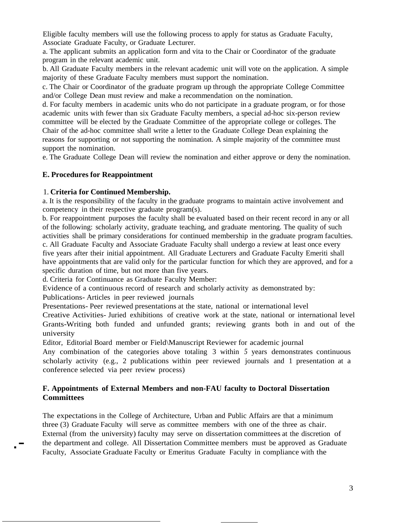Eligible faculty members will use the following process to apply for status as Graduate Faculty, Associate Graduate Faculty, or Graduate Lecturer.

a. The applicant submits an application form and vita to the Chair or Coordinator of the graduate program in the relevant academic unit.

b. All Graduate Faculty members in the relevant academic unit will vote on the application. A simple majority of these Graduate Faculty members must support the nomination.

c. The Chair or Coordinator of the graduate program up through the appropriate College Committee and/or College Dean must review and make a recommendation on the nomination.

d. For faculty members in academic units who do not participate in a graduate program, or for those academic units with fewer than six Graduate Faculty members, a special ad-hoc six-person review committee will be elected by the Graduate Committee of the appropriate college or colleges. The Chair of the ad-hoc committee shall write a letter to the Graduate College Dean explaining the reasons for supporting or not supporting the nomination. A simple majority of the committee must support the nomination.

e. The Graduate College Dean will review the nomination and either approve or deny the nomination.

#### **E. Procedures for Reappointment**

#### 1. **Criteria for Continued Membership.**

a. It is the responsibility of the faculty in the graduate programs to maintain active involvement and competency in their respective graduate program(s).

b. For reappointment purposes the faculty shall be evaluated based on their recent record in any or all of the following: scholarly activity, graduate teaching, and graduate mentoring. The quality of such activities shall be primary considerations for continued membership in the graduate program faculties. c. All Graduate Faculty and Associate Graduate Faculty shall undergo a review at least once every five years after their initial appointment. All Graduate Lecturers and Graduate Faculty Emeriti shall have appointments that are valid only for the particular function for which they are approved, and for a specific duration of time, but not more than five years.

d. Criteria for Continuance as Graduate Faculty Member:

Evidence of a continuous record of research and scholarly activity as demonstrated by:

Publications- Articles in peer reviewed journals

.-

Presentations- Peer reviewed presentations at the state, national or international level

Creative Activities- Juried exhibitions of creative work at the state, national or international level Grants-Writing both funded and unfunded grants; reviewing grants both in and out of the university

Editor, Editorial Board member or Field\Manuscript Reviewer for academic journal

Any combination of the categories above totaling 3 within *5* years demonstrates continuous scholarly activity (e.g., 2 publications within peer reviewed journals and 1 presentation at a conference selected via peer review process)

## **F. Appointments of External Members and non-FAU faculty to Doctoral Dissertation Committees**

The expectations in the College of Architecture, Urban and Public Affairs are that a minimum three (3) Graduate Faculty will serve as committee members with one of the three as chair. External (from the university) faculty may serve on dissertation committees at the discretion of the department and college. All Dissertation Committee members must be approved as Graduate Faculty, Associate Graduate Faculty or Emeritus Graduate Faculty in compliance with the